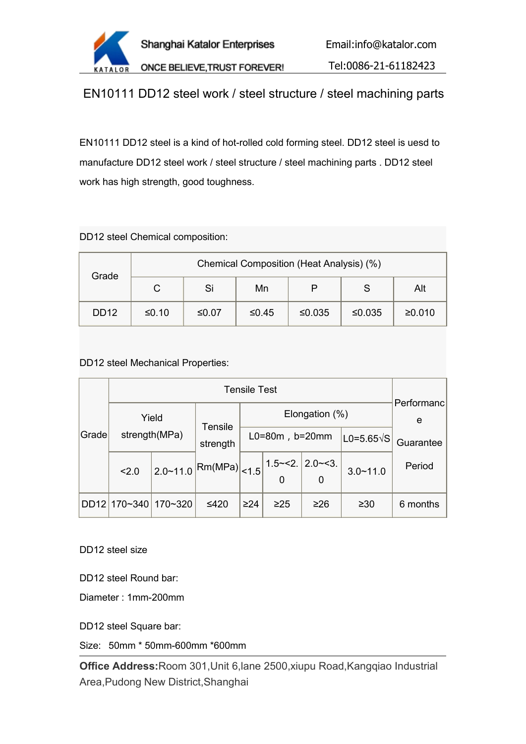

EN10111 DD12 steel work / steel structure / steel machining parts

EN10111 DD12 steel is a kind of hot-rolled cold forming steel. DD12 steel is uesd to manufacture DD12 steel work / steel structure / steel machining parts . DD12 steel work has high strength, good toughness.

DD12 steel Chemical composition:

| Grade       | Chemical Composition (Heat Analysis) (%) |         |         |        |        |        |  |  |  |  |
|-------------|------------------------------------------|---------|---------|--------|--------|--------|--|--|--|--|
|             | С                                        | Si      | Mn      | P      | ত      | Alt    |  |  |  |  |
| <b>DD12</b> | $≤0.10$                                  | $≤0.07$ | $≤0.45$ | ≤0.035 | ≤0.035 | ≥0.010 |  |  |  |  |

DD12 steel Mechanical Properties:

|                        | Yield   |          | <b>Tensile</b>                            | Elongation $(\%)$ |           |                                  |              | Performanc<br>e |
|------------------------|---------|----------|-------------------------------------------|-------------------|-----------|----------------------------------|--------------|-----------------|
| Grade<br>strength(MPa) |         | strength | $L0=80m$ , $b=20mm$                       |                   |           | $ LO=5.65\sqrt{S} $              | Guarantee    |                 |
|                        | 2.0     |          | $ _{2.0 \sim 11.0} \text{Rm(MPa)} $ < 1.5 |                   | 0         | $1.5 \sim 2.$ 2.0 $\sim$ 3.<br>0 | $3.0 - 11.0$ | Period          |
| DD12                   | 170~340 | 170~320  | $≤420$                                    | $\geq$ 24         | $\geq$ 25 | $\geq 26$                        | $\geq 30$    | 6 months        |

DD12 steel size

DD12 steel Round bar:

Diameter : 1mm-200mm

DD12 steel Square bar:

Size: 50mm \* 50mm-600mm \*600mm

**Office Address:**Room 301,Unit 6,lane 2500,xiupu Road,Kangqiao Industrial Area,Pudong New District,Shanghai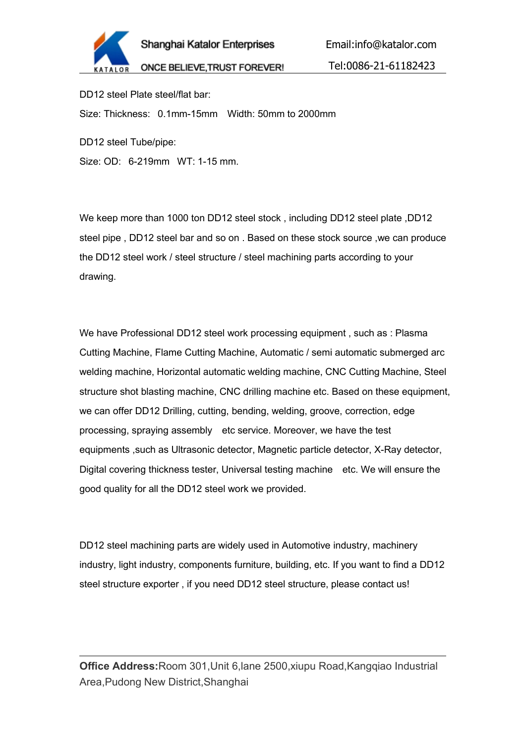

Email:info@katalor.com

Tel:0086-21-61182423

DD12 steel Plate steel/flat bar: Size: Thickness: 0.1mm-15mm Width: 50mm to 2000mm

DD12 steel Tube/pipe:

Size: OD: 6-219mm WT: 1-15 mm.

We keep more than 1000 ton DD12 steel stock , including DD12 steel plate ,DD12 steel pipe , DD12 steel bar and so on . Based on these stock source ,we can produce the DD12 steel work / steel structure / steel machining parts according to your drawing.

We have Professional DD12 steel work processing equipment , such as : Plasma Cutting Machine, Flame Cutting Machine, Automatic / semi automatic submerged arc welding machine, Horizontal automatic welding machine, CNC Cutting Machine, Steel structure shot blasting machine, CNC drilling machine etc. Based on these equipment, we can offer DD12 Drilling, cutting, bending, welding, groove, correction, edge processing, spraying assembly etc service. Moreover, we have the test equipments ,such as Ultrasonic detector, Magnetic particle detector, X-Ray detector, Digital covering thickness tester, Universal testing machine etc. We will ensure the good quality for all the DD12 steel work we provided.

DD12 steel machining parts are widely used in Automotive industry, machinery industry, light industry, components furniture, building, etc. If you want to find a DD12 steel structure exporter , if you need DD12 steel structure, please contact us!

**Office Address:**Room 301,Unit 6,lane 2500,xiupu Road,Kangqiao Industrial Area,Pudong New District,Shanghai